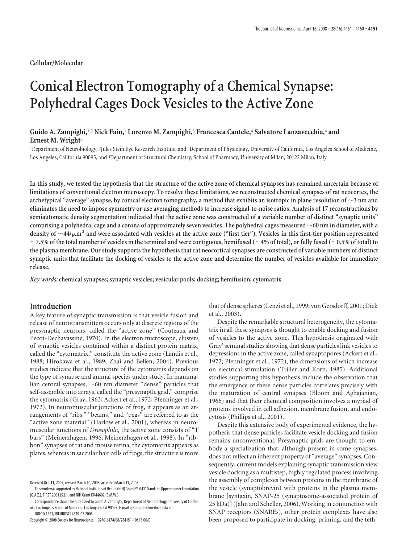# **Conical Electron Tomography of a Chemical Synapse: Polyhedral Cages Dock Vesicles to the Active Zone**

# **Guido A. Zampighi,**1,2 **Nick Fain,**<sup>1</sup> **Lorenzo M. Zampighi,**<sup>3</sup> **Francesca Cantele,**<sup>4</sup> **Salvatore Lanzavecchia,**<sup>4</sup> **and Ernest M. Wright**<sup>3</sup>

<sup>1</sup>Department of Neurobiology, <sup>2</sup>Jules Stein Eye Research Institute, and <sup>3</sup>Department of Physiology, University of California, Los Angeles School of Medicine, Los Angeles, California 90095, and <sup>4</sup> Department of Structural Chemistry, School of Pharmacy, University of Milan, 20122 Milan, Italy

**In this study, we tested the hypothesis that the structure of the active zone of chemical synapses has remained uncertain because of limitations of conventional electron microscopy. To resolve these limitations, we reconstructed chemical synapses of rat neocortex, the archetypical "average" synapse, by conical electron tomography, a method that exhibits an isotropic in plane resolution of 3 nm and eliminates the need to impose symmetry or use averaging methods to increase signal-to-noise ratios. Analysis of 17 reconstructions by semiautomatic density segmentation indicated that the active zone was constructed of a variable number of distinct "synaptic units" comprising a polyhedral cage and a corona of approximately seven vesicles. The polyhedral cages measured 60 nm in diameter, with a** density of  $\sim$ 44/ $\mu$ m<sup>2</sup> and were associated with vesicles at the active zone ("first tier"). Vesicles in this first-tier position represented **7.5% of the total number of vesicles in the terminal and were contiguous, hemifused (4% of total), or fully fused (0.5% of total) to the plasma membrane. Our study supports the hypothesis that rat neocortical synapses are constructed of variable numbers of distinct synaptic units that facilitate the docking of vesicles to the active zone and determine the number of vesicles available for immediate release.**

*Key words:***chemical synapses; synaptic vesicles; vesicular pools; docking; hemifusion; cytomatrix**

## **Introduction**

A key feature of synaptic transmission is that vesicle fusion and release of neurotransmitters occurs only at discrete regions of the presynaptic neurons, called the "active zone" (Couteaux and Pecot-Dechavassine, 1970). In the electron microscope, clusters of synaptic vesicles contained within a distinct protein matrix, called the "cytomatrix," constitute the active zone (Landis et al., 1988; Hirokawa et al., 1989; Zhai and Bellen, 2004). Previous studies indicate that the structure of the cytomatrix depends on the type of synapse and animal species under study. In mammalian central synapses,  $~60$  nm diameter "dense" particles that self-assemble into arrays, called the "presynaptic grid," comprise the cytomatrix (Gray, 1963; Ackert et al., 1972; Pfenninger et al., 1972). In neuromuscular junctions of frog, it appears as an arrangements of "ribs," "beams," and "pegs" are referred to as the "active zone material" (Harlow et al., 2001), whereas in neuromuscular junctions of *Drosophila*, the active zone consists of "T bars" (Meinerzhagen, 1996; Meinerzhagen et al., 1998). In "ribbon" synapses of rat and mouse retina, the cytomatrix appears as plates, whereas in saccular hair cells of frogs, the structure is more

Copyright © 2008 Society for Neuroscience 0270-6474/08/284151-10\$15.00/0

that of dense spheres (Lenzi et al., 1999; von Gersdorff, 2001; Dick et al., 2003).

Despite the remarkable structural heterogeneity, the cytomatrix in all these synapses is thought to enable docking and fusion of vesicles to the active zone. This hypothesis originated with Gray' seminal studies showing that dense particles link vesicles to depressions in the active zone, called synaptopores (Ackert et al., 1972; Pfenninger et al., 1972), the dimensions of which increase on electrical stimulation (Triller and Korn, 1985). Additional studies supporting this hypothesis include the observation that the emergence of these dense particles correlates precisely with the maturation of central synapses (Bloom and Aghajanian, 1966) and that their chemical composition involves a myriad of proteins involved in cell adhesion, membrane fusion, and endocytosis (Phillips et al., 2001).

Despite this extensive body of experimental evidence, the hypothesis that dense particles facilitate vesicle docking and fusion remains unconventional. Presynaptic grids are thought to embody a specialization that, although present in some synapses, does not reflect an inherent property of "average" synapses. Consequently, current models explaining synaptic transmission view vesicle docking as a multistep, highly regulated process involving the assembly of complexes between proteins in the membrane of the vesicle (synaptobrevin) with proteins in the plasma membrane [syntaxin, SNAP-25 (synaptosome-associated protein of 25 kDa)] (Jahn and Scheller, 2006). Working in conjunction with SNAP receptors (SNAREs), other protein complexes have also been proposed to participate in docking, priming, and the teth-

Received Oct. 11, 2007; revised March 10, 2008; accepted March 11, 2008.

This work was supported by National Institutes of Health (NIH) Grant EY-04110 and the Oppenheimer Foundation (G.A.Z.), FIRST 2001 (S.L.), and NIH Grant DK44602 (E.M.W.).

Correspondence should be addressed to Guido A. Zampighi, Department of Neurobiology, University of California, Los Angeles School of Medicine, Los Angeles, CA 90095. E-mail: gzampighi@mednet.ucla.edu.

DOI:10.1523/JNEUROSCI.4639-07.2008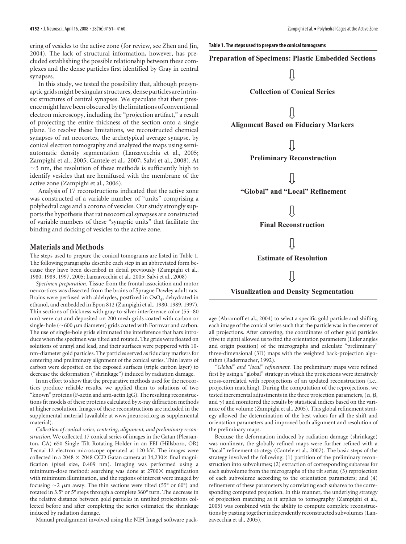ering of vesicles to the active zone (for review, see Zhen and Jin, 2004). The lack of structural information, however, has precluded establishing the possible relationship between these complexes and the dense particles first identified by Gray in central synapses.

In this study, we tested the possibility that, although presynaptic grids might be singular structures, dense particles are intrinsic structures of central synapses. We speculate that their presence might have been obscured by the limitations of conventional electron microscopy, including the "projection artifact," a result of projecting the entire thickness of the section onto a single plane. To resolve these limitations, we reconstructed chemical synapses of rat neocortex, the archetypical average synapse, by conical electron tomography and analyzed the maps using semiautomatic density segmentation (Lanzavecchia et al., 2005; Zampighi et al., 2005; Cantele et al., 2007; Salvi et al., 2008). At  $\sim$ 3 nm, the resolution of these methods is sufficiently high to identify vesicles that are hemifused with the membrane of the active zone (Zampighi et al., 2006).

Analysis of 17 reconstructions indicated that the active zone was constructed of a variable number of "units" comprising a polyhedral cage and a corona of vesicles. Our study strongly supports the hypothesis that rat neocortical synapses are constructed of variable numbers of these "synaptic units" that facilitate the binding and docking of vesicles to the active zone.

## **Materials and Methods**

The steps used to prepare the conical tomograms are listed in Table 1. The following paragraphs describe each step in an abbreviated form because they have been described in detail previously (Zampighi et al., 1980, 1989, 1997, 2005; Lanzavecchia et al., 2005; Salvi et al., 2008)

*Specimen preparation.* Tissue from the frontal association and motor neocortices was dissected from the brains of Sprague Dawley adult rats. Brains were perfused with aldehydes, postfixed in  $OsO<sub>4</sub>$ , dehydrated in ethanol, and embedded in Epon 812 (Zampighi et al., 1980, 1989, 1997). Thin sections of thickness with gray-to-silver interference color (55– 80 nm) were cut and deposited on 200 mesh grids coated with carbon or single-hole ( $\sim$  600  $\mu$ m diameter) grids coated with Formvar and carbon. The use of single-hole grids eliminated the interference that bars introduce when the specimen was tilted and rotated. The grids were floated on solutions of uranyl and lead, and their surfaces were peppered with 10 nm-diameter gold particles. The particles served as fiduciary markers for centering and preliminary alignment of the conical series. Thin layers of carbon were deposited on the exposed surfaces (triple carbon layer) to decrease the deformation ("shrinkage") induced by radiation damage.

In an effort to show that the preparative methods used for the neocortices produce reliable results, we applied them to solutions of two "known" proteins (F-actin and anti-actin IgG). The resulting reconstructions fit models of these proteins calculated by *x*-ray diffraction methods at higher resolution. Images of these reconstructions are included in the supplemental material (available at www.jneurosci.org as supplemental material).

*Collection of conical series, centering, alignment, and preliminary reconstruction.* We collected 17 conical series of images in the Gatan (Pleasanton, CA) 650 Single Tilt Rotating Holder in an FEI (Hillsboro, OR) Tecnai 12 electron microscope operated at 120 kV. The images were collected in a 2048  $\times$  2048 CCD Gatan camera at 34,230 $\times$  final magnification (pixel size, 0.409 nm). Imaging was performed using a minimum-dose method: searching was done at 2700 $\times$  magnification with minimum illumination, and the regions of interest were imaged by focusing  $\sim$ 2  $\mu$ m away. The thin sections were tilted (55° or 60°) and rotated in 3.5° or 5° steps through a complete 360° turn. The decrease in the relative distance between gold particles in untilted projections collected before and after completing the series estimated the shrinkage induced by radiation damage.

Manual prealignment involved using the NIH ImageJ software pack-

**Table 1. The steps used to prepare the conical tomograms**

**Preparation of Specimens: Plastic Embedded Sections**

Jl **Collection of Conical Series Alignment Based on Fiduciary Markers** Ιl  **Preliminary Reconstruction "Global" and "Local" Refinement Final Reconstruction Estimate of Resolution** Jl **Visualization and Density Segmentation**

age (Abramoff et al., 2004) to select a specific gold particle and shifting each image of the conical series such that the particle was in the center of all projections. After centering, the coordinates of other gold particles (five to eight) allowed us to find the orientation parameters (Euler angles and origin position) of the micrographs and calculate "preliminary" three-dimensional (3D) maps with the weighted back-projection algorithm (Radermacher, 1992).

*"Global" and "local" refinement.* The preliminary maps were refined first by using a "global" strategy in which the projections were iteratively cross-correlated with reprojections of an updated reconstruction (i.e., projection matching). During the computation of the reprojections, we tested incremental adjustments in the three projection parameters, ( $\alpha, \beta,$ and  $\gamma$ ) and monitored the results by statistical indices based on the variance of the volume (Zampighi et al., 2005). This global refinement strategy allowed the determination of the best values for all the shift and orientation parameters and improved both alignment and resolution of the preliminary maps.

Because the deformation induced by radiation damage (shrinkage) was nonlinear, the globally refined maps were further refined with a "local" refinement strategy (Cantele et al., 2007). The basic steps of the strategy involved the following: (1) partition of the preliminary reconstruction into subvolumes; (2) extraction of corresponding subareas for each subvolume from the micrographs of the tilt series; (3) reprojection of each subvolume according to the orientation parameters; and (4) refinement of these parameters by correlating each subarea to the corresponding computed projection. In this manner, the underlying strategy of projection matching as it applies to tomography (Zampighi et al., 2005) was combined with the ability to compute complete reconstructions by pasting together independently reconstructed subvolumes (Lanzavecchia et al., 2005).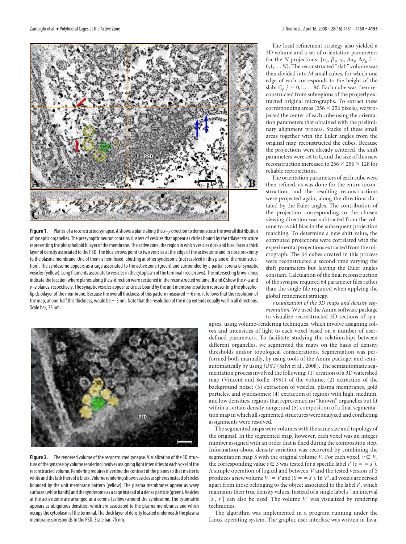

Figure 1. Planes of a reconstructed synapse. A shows a plane along the x-y direction to demonstrate the overall distribution of synaptic organelles. The presynaptic neuron contains clusters of vesicles that appear as circles bound by the trilayer structure representing the phospholipid bilayer of the membrane. The active zone, the region in which vesicles dock and fuse, faces a thick layer of density associated to the PSD. The blue arrows point to two vesicles at the edge of the active zone and in close proximity to the plasma membrane. One of them is hemifused, abutting another syndesome (not resolved in this plane of the reconstruction). The syndesome appears as a cage associated to the active zone (green) and surrounded by a partial corona of synaptic vesicles (yellow). Long filaments associate to vesicles in the cytoplasm of the terminal (red arrows). The intersecting brown lines indicate the location where planes along the*z*-direction were sectioned in the reconstructed volume. *B* and*C*show the*x–z*and *y–z*planes, respectively. Thesynaptic vesicles appear as circles bound by the unit membrane pattern representing the phospholipids bilayer of the membrane. Because the overall thickness of this pattern measured  $\sim$  6 nm, it follows that the resolution of the map, at one-half this thickness, would be  $\sim$ 3 nm. Note that the resolution of the map extends equally well in all directions. Scale bar, 75 nm.



**Figure 2.** The rendered volume of the reconstructed synapse. Visualization of the 3D structure of the synapse by volume rendering involves assigning light intensities to each voxel of the reconstructed volume. Rendering requires inverting the contrast of the planes so that matter is white and the lack thereof is black. Volume rendering shows vesicles as spheres instead of circles bounded by the unit membrane pattern (yellow). The plasma membranes appear as wavy surfaces (white bands) and the syndesome as a cage instead of a dense particle (green). Vesicles at the active zone are arranged as a corona (yellow) around the syndesome. The cytomatrix appears as ubiquitous densities, which are associated to the plasma membranes and which occupy the cytoplasm of the terminal. The thick layer of density located underneath the plasma membrane corresponds to the PSD. Scale bar, 75 nm.

The local refinement strategy also yielded a 3D volume and a set of orientation parameters for the *N* projections:  $\{\alpha_i, \beta_i, \gamma_i, \Delta x_i, \Delta y_i\}$  *i* = 0,1,. . . *N*}. The reconstructed "slab" volume was then divided into *M* small cubes, for which one edge of each corresponds to the height of the slab:  $C_j$ ,  $j = 0,1,...$  *M*. Each cube was then reconstructed from subregions of the properly extracted original micrographs. To extract these corresponding areas ( $256 \times 256$  pixels), we projected the center of each cube using the orientation parameters that obtained with the preliminary alignment process. Stacks of these small areas together with the Euler angles from the original map reconstructed the cubes. Because the projections were already centered, the shift parameters were set to 0, and the size of this new reconstruction increased to  $256 \times 256 \times 128$  for reliable reprojections.

The orientation parameters of each cube were then refined, as was done for the entire reconstruction, and the resulting reconstructions were projected again, along the directions dictated by the Euler angles. The contribution of the projection corresponding to the chosen viewing direction was subtracted from the volume to avoid bias in the subsequent projection matching. To determine a new shift value, the computed projections were correlated with the experimental projections extracted from the micrograph. The 64 cubes created in this process were reconstructed a second time varying the shift parameters but leaving the Euler angles constant. Calculation of the final reconstruction of the synapse required 64 parameter files rather than the single file required when applying the global refinement strategy.

*Visualization of the 3D maps and density segmentation.* We used the Amira software package to visualize reconstructed 3D sections of syn-

apses, using volume-rendering techniques, which involve assigning colors and intensities of light to each voxel based on a number of userdefined parameters. To facilitate studying the relationships between different organelles, we segmented the maps on the basis of density thresholds and/or topological considerations. Segmentation was performed both manually, by using tools of the Amira package, and semiautomatically by using JUST (Salvi et al., 2008). The semiautomatic segmentation process involved the following: (1) creation of a 3D watershed map (Vincent and Soille, 1991) of the volume; (2) extraction of the background noise; (3) extraction of vesicles, plasma membranes, gold particles, and syndesomes; (4) extraction of regions with high, medium, and low densities, regions that represented no "known" organelles but fit within a certain density range; and (5) composition of a final segmentation map in which all segmented structures were analyzed and conflicting assignments were resolved.

The segmented maps were volumes with the same size and topology of the original. In the segmented map, however, each voxel was an integer number assigned with an order that is fixed during the composition step. Information about density variation was recovered by combining the segmentation map *S* with the original volume *V*. For each voxel,  $v \in V$ , the corresponding value  $s \in S$  was tested for a specific label  $s'$  ( $s = s'$ ). A simple operation of logical and between *V* and the tested version of *S* produces a new volume  $V' = V$  and  $(S = s')$ . In  $V'$ , all voxels are zeroed apart from those belonging to the object associated to the label *s'*, which maintains their true density values. Instead of a single label *s'*, an interval [s', s"] can also be used. The volume *V'* was visualized by rendering techniques.

The algorithm was implemented in a program running under the Linux operating system. The graphic user interface was written in Java,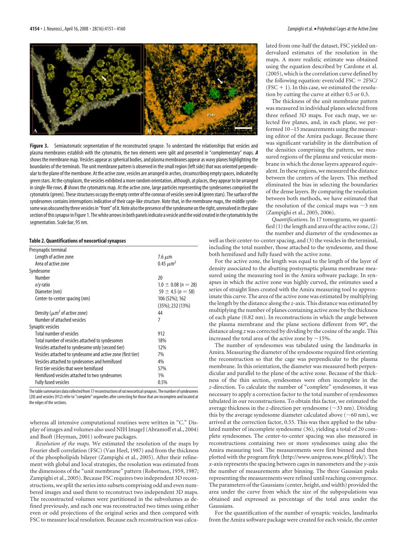

**Figure 3.** Semiautomatic segmentation of the reconstructed synapse. To understand the relationships that vesicles and plasma membranes establish with the cytomatrix, the two elements were split and presented in "complementary" maps. *A* shows the membrane map. Vesicles appear asspherical bodies, and plasma membranes appear as wavy planes highlighting the boundaries of the terminals. The unit membrane pattern is observed in the small region (left side) that was oriented perpendicular to the plane of the membrane. At the active zone, vesicles are arranged in arches, circumscribing emptyspaces, indicated by green stars. At the cytoplasm, the vesicles exhibited a more random orientation, although, at places, they appear to be arranged in single-file rows. *B* shows the cytomatrix map. At the active zone, large particles representing the syndesomes comprised the cytomatrix (green). These structures occupy the empty center of the coronas of vesicles seen in *A* (green stars). The surface of the syndesomes contains interruptions indicative of their cage-like structure. Note that, in the membrane maps, the middle syndesome was obscured by three vesicles in "front" of it. Note also the presence of the syndesome on the right, unresolved in the plane section of this synapse in Figure 1. The white arrows in both panels indicate a vesicle and the void created in the cytomatrix by the segmentation. Scale bar, 95 nm.

#### **Table 2. Quantifications of neocortical synapses**

| Presynaptic terminal                                        |                           |
|-------------------------------------------------------------|---------------------------|
| Length of active zone                                       | 7.6 $\mu$ m               |
| Area of active zone                                         | 0.45 $\mu$ m <sup>2</sup> |
| Syndesome                                                   |                           |
| Number                                                      | 20                        |
| $x/y$ ratio                                                 | $1.0 \pm 0.08$ (n = 28)   |
| Diameter (nm)                                               | $59 \pm 4.5$ (n = 58)     |
| Center-to-center spacing (nm)                               | 106 (52%); 162            |
|                                                             | $(35\%)$ ; 232 (13%)      |
| Density ( $\mu$ m <sup>2</sup> of active zone)              | 44                        |
| Number of attached vesicles                                 | 7                         |
| Synaptic vesicles                                           |                           |
| <b>Total number of vesicles</b>                             | 912                       |
| Total number of vesicles attached to syndesomes             | 18%                       |
| Vesicles attached to syndesome only (second tier)           | 12%                       |
| Vesicles attached to syndesome and active zone (first tier) | 7%                        |
| Vesicles attached to syndesomes and hemifused               | 4%                        |
| First tier vesicles that were hemifused                     | 57%                       |
| Hemifused vesicles attached to two syndesomes               | 1%                        |
| <b>Fully fused vesicles</b>                                 | 0.5%                      |
|                                                             |                           |

The table summarizes data collected from 17 reconstructions of rat neocortical synapses. The number of syndesomes (20) and vesicles (912) refer to "complete" organelles after correcting for those that are incomplete and located at the edges of the sections.

whereas all intensive computational routines were written in "C." Display of images and volumes also used NIH ImageJ (Abramoff et al., 2004) and Bsoft (Heyman, 2001) software packages.

*Resolution of the maps.* We estimated the resolution of the maps by Fourier shell correlation (FSC) (Van Heel, 1987) and from the thickness of the phospholipids bilayer (Zampighi et al., 2005). After their refinement with global and local strategies, the resolution was estimated from the dimensions of the "unit membrane" pattern (Robertson, 1959, 1987; Zampighi et al., 2005). Because FSC requires two independent 3D reconstructions, we split the series into subsets comprising odd and even numbered images and used them to reconstruct two independent 3D maps. The reconstructed volumes were partitioned in the subvolumes as defined previously, and each one was reconstructed two times using either even or odd projections of the original series and then compared with FSC to measure local resolution. Because each reconstruction was calculated from one-half the dataset, FSC yielded undervalued estimates of the resolution in the maps. A more realistic estimate was obtained using the equation described by Cardone et al. (2005), which is the correlation curve defined by the following equation: even/odd  $FSC = 2FSC/$  $(FSC + 1)$ . In this case, we estimated the resolution by cutting the curve at either 0.5 or 0.3.

The thickness of the unit membrane pattern was measured in individual planes selected from three refined 3D maps. For each map, we selected five planes, and, in each plane, we performed 10 –15 measurements using the measuring editor of the Amira package. Because there was significant variability in the distribution of the densities comprising the pattern, we measured regions of the plasma and vesicular membrane in which the dense layers appeared equivalent. In these regions, we measured the distance between the centers of the layers. This method eliminated the bias in selecting the boundaries of the dense layers. By comparing the resolution between both methods, we have estimated that the resolution of the conical maps was  $\sim$ 3 nm (Zampighi et al., 2005, 2006).

*Quantifications.* In 17 tomograms, we quantified (1) the length and area of the active zone, (2)

the number and diameter of the syndesomes as well as their center-to-center spacing, and (3) the vesicles in the terminal, including the total number, those attached to the syndesome, and those both hemifused and fully fused with the active zone.

For the active zone, the length was equal to the length of the layer of density associated to the abutting postsynaptic plasma membrane measured using the measuring tool in the Amira software package. In synapses in which the active zone was highly curved, the estimates used a series of straight lines created with the Amira measuring tool to approximate this curve. The area of the active zone was estimated by multiplying the length by the distance along the *z*-axis. This distance was estimated by multiplying the number of planes containing active zone by the thickness of each plane (0.82 nm). In reconstructions in which the angle between the plasma membrane and the plane sections different from 90°, the distance along *z* was corrected by dividing by the cosine of the angle. This increased the total area of the active zone by  $\sim$ 15%.

The number of syndesomes was tabulated using the landmarks in Amira. Measuring the diameter of the syndesome required first orienting the reconstruction so that the cage was perpendicular to the plasma membrane. In this orientation, the diameter was measured both perpendicular and parallel to the plane of the active zone. Because of the thickness of the thin section, syndesomes were often incomplete in the *z*-direction. To calculate the number of "complete" syndesomes, it was necessary to apply a correction factor to the total number of syndesomes tabulated in our reconstructions. To obtain this factor, we estimated the average thickness in the *z*-direction per syndesome ( $\sim$ 33 nm). Dividing this by the average syndesome diameter calculated above  $(\sim 60 \text{ nm})$ , we arrived at the correction factor, 0.55. This was then applied to the tabulated number of incomplete syndesome (36), yielding a total of 20 complete syndesomes. The center-to-center spacing was also measured in reconstructions containing two or more syndesomes using also the Amira measuring tool. The measurements were first binned and then plotted with the program fityk (http://www.unipress.waw.pl/fityk/). The *x*-axis represents the spacing between cages in nanometers and the *y*-axis the number of measurements after binning. The three Gaussian peaks representing the measurements were refined until reaching convergence. The parameters of the Gaussians (center, height, and width) provided the area under the curve from which the size of the subpopulations was obtained and expressed as percentage of the total area under the Gaussians.

For the quantification of the number of synaptic vesicles, landmarks from the Amira software package were created for each vesicle, the center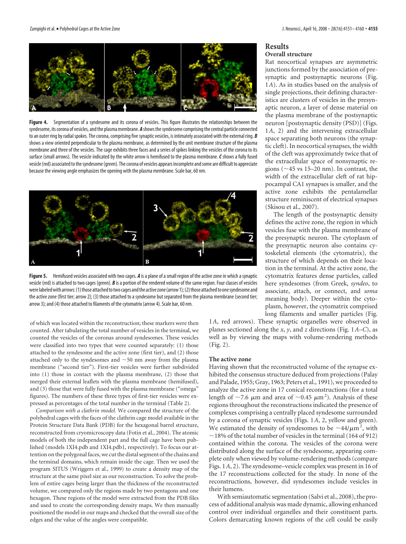

**Figure 4.** Segmentation of a syndesome and its corona of vesicles. This figure illustrates the relationships between the syndesome, its corona of vesicles, and the plasma membrane. *A* shows thesyndesome comprising the central particle connected to an outer ring by radial spokes. The corona, comprising five synaptic vesicles, is intimately associated with the external ring. **B** shows a view oriented perpendicular to the plasma membrane, as determined by the unit membrane structure of the plasma membrane and three of the vesicles. The cage exhibits three faces and a series of spikes linking the vesicles of the corona to its surface (small arrows). The vesicle indicated by the white arrow is hemifused to the plasma membrane.*C*shows a fully fused vesicle (red) associated to the syndesome (green). The corona of vesicles appears incomplete and some are difficult to appreciate because the viewing angle emphasizes the opening with the plasma membrane. Scale bar, 60 nm.



**Figure 5.** Hemifused vesicles associated with two cages*. A* is a plane of a small region of the active zone in which a synaptic vesicle (red) is attached to two cages (green). *B* is a portion of the rendered volume of the same region. Four classes of vesicles were labeled with arrows: (1) those attached to two cages and the active zone (arrow 1); (2) those attached to one syndesome and the active zone (first tier; arrow 2); (3) those attached to a syndesome but separated from the plasma membrane (second tier; arrow 3); and (4) those attached to filaments of the cytomatrix (arrow 4). Scale bar, 60 nm.

of which was located within the reconstruction; these markers were then counted. After tabulating the total number of vesicles in the terminal, we counted the vesicles of the coronas around syndesomes. These vesicles were classified into two types that were counted separately: (1) those attached to the syndesome and the active zone (first tier), and (2) those attached only to the syndesomes and  $\sim$  50 nm away from the plasma membrane ("second tier"). First-tier vesicles were further subdivided into (1) those in contact with the plasma membrane, (2) those that merged their external leaflets with the plasma membrane (hemifused), and (3) those that were fully fused with the plasma membrane ("omega" figures). The numbers of these three types of first-tier vesicles were expressed as percentages of the total number in the terminal (Table 2).

*Comparison with a clathrin model.* We compared the structure of the polyhedral cages with the faces of the clathrin cage model available in the Protein Structure Data Bank (PDB) for the hexagonal barrel structure, reconstructed from cryomicroscopy data (Fotin et al., 2004). The atomic models of both the independent part and the full cage have been published (models 1XI4.pdb and 1XI4.pdb1, respectively). To focus our attention on the polygonal faces, we cut the distal segment of the chains and the terminal domains, which remain inside the cage. Then we used the program SITUS (Wriggers et al., 1999) to create a density map of the structure at the same pixel size as our reconstruction. To solve the problem of entire cages being larger than the thickness of the reconstructed volume, we compared only the regions made by two pentagons and one hexagon. These regions of the model were extracted from the PDB files and used to create the corresponding density maps. We then manually positioned the model in our maps and checked that the overall size of the edges and the value of the angles were compatible.

### **Results Overall structure**

Rat neocortical synapses are asymmetric junctions formed by the association of presynaptic and postsynaptic neurons (Fig. 1*A*). As in studies based on the analysis of single projections, their defining characteristics are clusters of vesicles in the presynaptic neuron, a layer of dense material on the plasma membrane of the postsynaptic neuron [postsynaptic density (PSD)] (Figs. 1*A*, 2) and the intervening extracellular space separating both neurons (the synaptic cleft). In neocortical synapses, the width of the cleft was approximately twice that of the extracellular space of nonsynaptic regions ( $\sim$ 45 vs 15–20 nm). In contrast, the width of the extracellular cleft of rat hippocampal CA1 synapses is smaller, and the active zone exhibits the pentalamellar structure reminiscent of electrical synapses (Skisou et al., 2007).

The length of the postsynaptic density defines the active zone, the region in which vesicles fuse with the plasma membrane of the presynaptic neuron. The cytoplasm of the presynaptic neuron also contains cytoskeletal elements (the cytomatrix), the structure of which depends on their location in the terminal. At the active zone, the cytomatrix features dense particles, called here syndesomes (from Greek, *syndeo*, to associate, attach, or connect, and *soma* meaning body). Deeper within the cytoplasm, however, the cytomatrix comprised long filaments and smaller particles (Fig.

1*A*, red arrows). These synaptic organelles were observed in planes sectioned along the *x*, *y*, and *z* directions (Fig. 1*A–C*), as well as by viewing the maps with volume-rendering methods (Fig. 2).

### **The active zone**

Having shown that the reconstructed volume of the synapse exhibited the consensus structure deduced from projections (Palay and Palade, 1955; Gray, 1963; Peters et al., 1991), we proceeded to analyze the active zone in 17 conical reconstructions (for a total length of  $\sim$  7.6  $\mu$ m and area of  $\sim$ 0.45  $\mu$ m<sup>2</sup>). Analysis of these regions throughout the reconstructions indicated the presence of complexes comprising a centrally placed syndesome surrounded by a corona of synaptic vesicles (Figs. 1*A*, 2, yellow and green). We estimated the density of syndesomes to be  $\sim$ 44/ $\mu$ m<sup>2</sup>, with  $\sim$ 18% of the total number of vesicles in the terminal (164 of 912) contained within the corona. The vesicles of the corona were distributed along the surface of the syndesome, appearing complete only when viewed by volume-rendering methods (compare Figs. 1*A*, 2). The syndesome–vesicle complex was present in 16 of the 17 reconstructions collected for the study. In none of the reconstructions, however, did syndesomes include vesicles in their lumens.

With semiautomatic segmentation (Salvi et al., 2008), the process of additional analysis was made dynamic, allowing enhanced control over individual organelles and their constituent parts. Colors demarcating known regions of the cell could be easily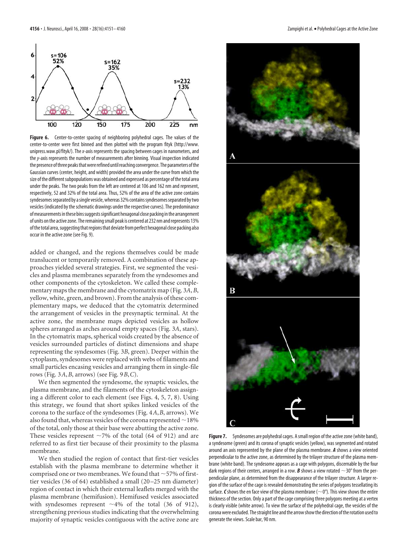

**Figure 6.** Center-to-center spacing of neighboring polyhedral cages. The values of the center-to-center were first binned and then plotted with the program fityk (http://www. unipress.waw.pl/fityk/). The*x*-axis represents the spacing between cages in nanometers, and the *y*-axis represents the number of measurements after binning. Visual inspection indicated the presence ofthree peaksthatwererefined untilreaching convergence. The parameters ofthe Gaussian curves (center, height, and width) provided the area under the curve from which the size of the different subpopulations was obtained and expressed as percentage of the total area under the peaks. The two peaks from the left are centered at 106 and 162 nm and represent, respectively, 52 and 32% of the total area. Thus, 52% of the area of the active zone contains syndesomes separated by a single vesicle, whereas 32% contains syndesomes separated by two vesicles (indicated by the schematic drawings under the respective curves). The predominance ofmeasurements inthese binssuggestssignificant hexagonal close packing inthe arrangement of units onthe active zone. Theremainingsmall peak is centered at 232 nm andrepresents 13% of the total area, suggesting that regions that deviate from perfect hexagonal close packing also occur in the active zone (see Fig. 9).

added or changed, and the regions themselves could be made translucent or temporarily removed. A combination of these approaches yielded several strategies. First, we segmented the vesicles and plasma membranes separately from the syndesomes and other components of the cytoskeleton. We called these complementary maps the membrane and the cytomatrix map (Fig. 3*A*, *B*, yellow, white, green, and brown). From the analysis of these complementary maps, we deduced that the cytomatrix determined the arrangement of vesicles in the presynaptic terminal. At the active zone, the membrane maps depicted vesicles as hollow spheres arranged as arches around empty spaces (Fig. 3*A*, stars). In the cytomatrix maps, spherical voids created by the absence of vesicles surrounded particles of distinct dimensions and shape representing the syndesomes (Fig. 3*B*, green). Deeper within the cytoplasm, syndesomes were replaced with webs of filaments and small particles encasing vesicles and arranging them in single-file rows (Fig. 3*A*,*B*, arrows) (see Fig. 9*B*,*C*).

We then segmented the syndesome, the synaptic vesicles, the plasma membrane, and the filaments of the cytoskeleton assigning a different color to each element (see Figs. 4, 5, 7, 8). Using this strategy, we found that short spikes linked vesicles of the corona to the surface of the syndesomes (Fig. 4*A*,*B*, arrows). We also found that, whereas vesicles of the corona represented  $\sim$  18% of the total, only those at their base were abutting the active zone. These vesicles represent  $\sim$  7% of the total (64 of 912) and are referred to as first tier because of their proximity to the plasma membrane.

We then studied the region of contact that first-tier vesicles establish with the plasma membrane to determine whether it comprised one or two membranes. We found that  $\sim$  57% of firsttier vesicles (36 of 64) established a small (20 –25 nm diameter) region of contact in which their external leaflets merged with the plasma membrane (hemifusion). Hemifused vesicles associated with syndesomes represent  $\sim$  4% of the total (36 of 912), strengthening previous studies indicating that the overwhelming majority of synaptic vesicles contiguous with the active zone are



Figure 7. Syndesomes are polyhedral cages. A small region of the active zone (white band), a syndesome (green) and its corona of synaptic vesicles (yellow), was segmented and rotated around an axis represented by the plane of the plasma membrane. *A* shows a view oriented perpendicular to the active zone, as determined by the trilayer structure of the plasma membrane (white band). The syndesome appears as a cage with polygons, discernable by the four dark regions of their centers, arranged in a row. **B** shows a view rotated  $\sim$ 30° from the perpendicular plane, as determined from the disappearance of the trilayer structure. A larger region of the surface of the cage is revealed demonstrating the series of polygons tessellating its surface. C shows the en face view of the plasma membrane ( $\sim$ 0°). This view shows the entire thickness of the section. Only a part of the cage comprising three polygons meeting at a vertex is clearly visible (white arrow). To view the surface of the polyhedral cage, the vesicles of the corona were excluded. The straight line and the arrow show the direction of the rotation used to generate the views. Scale bar, 90 nm.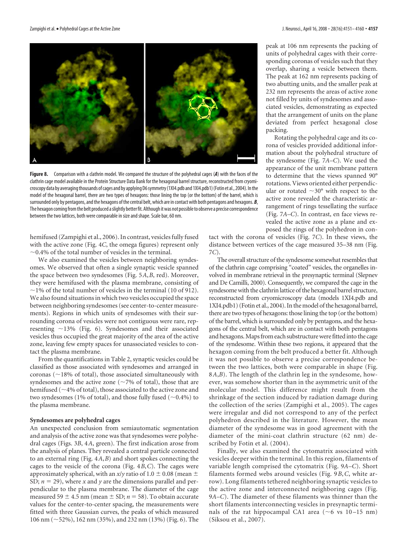

**Figure 8.** Comparison with a clathrin model. We compared the structure of the polyhedral cages (*A*) with the faces of the clathrin cage model available in the Protein Structure Data Bank for the hexagonal barrel structure, reconstructed from cryomicroscopy data by averaging thousands of cages and by applying D6 symmetry (1XI4.pdb and 1XI4.pdb1) (Fotin et al., 2004). In the model of the hexagonal barrel, there are two types of hexagons: those lining the top (or the bottom) of the barrel, which is surrounded only by pentagons, and the hexagons of the central belt, which are in contact with both pentagons and hexagons. *B*, The hexagon coming from the belt produced a slightly better fit. Although it was not possible to observe a precise correspondence between the two lattices, both were comparable in size and shape. Scale bar, 60 nm.

hemifused (Zampighi et al., 2006). In contrast, vesicles fully fused with the active zone (Fig. 4*C*, the omega figures) represent only  $\sim$ 0.4% of the total number of vesicles in the terminal.

We also examined the vesicles between neighboring syndesomes. We observed that often a single synaptic vesicle spanned the space between two syndesomes (Fig. 5*A*,*B*, red). Moreover, they were hemifused with the plasma membrane, consisting of  $\sim$ 1% of the total number of vesicles in the terminal (10 of 912). We also found situations in which two vesicles occupied the space between neighboring syndesomes (see center-to-center measurements). Regions in which units of syndesomes with their surrounding corona of vesicles were not contiguous were rare, representing  $\sim$ 13% (Fig. 6). Syndesomes and their associated vesicles thus occupied the great majority of the area of the active zone, leaving few empty spaces for unassociated vesicles to contact the plasma membrane.

From the quantifications in Table 2, synaptic vesicles could be classified as those associated with syndesomes and arranged in coronas ( $\sim$ 18% of total), those associated simultaneously with syndesomes and the active zone ( $\sim$ 7% of total), those that are hemifused ( $\sim$ 4% of total), those associated to the active zone and two syndesomes (1% of total), and those fully fused ( $\sim$ 0.4%) to the plasma membrane.

#### **Syndesomes are polyhedral cages**

An unexpected conclusion from semiautomatic segmentation and analysis of the active zone was that syndesomes were polyhedral cages (Figs. 3*B*, 4*A*, green). The first indication arose from the analysis of planes. They revealed a central particle connected to an external ring (Fig. 4*A*,*B*) and short spokes connecting the cages to the vesicle of the corona (Fig. 4*B*,*C*). The cages were approximately spherical, with an  $x/y$  ratio of 1.0  $\pm$  0.08 (mean  $\pm$ SD;  $n = 29$ ), where *x* and *y* are the dimensions parallel and perpendicular to the plasma membrane. The diameter of the cage measured 59  $\pm$  4.5 nm (mean  $\pm$  SD;  $n = 58$ ). To obtain accurate values for the center-to-center spacing, the measurements were fitted with three Gaussian curves, the peaks of which measured 106 nm (52%), 162 nm (35%), and 232 nm (13%) (Fig. 6). The

peak at 106 nm represents the packing of units of polyhedral cages with their corresponding coronas of vesicles such that they overlap, sharing a vesicle between them. The peak at 162 nm represents packing of two abutting units, and the smaller peak at 232 nm represents the areas of active zone not filled by units of syndesomes and associated vesicles, demonstrating as expected that the arrangement of units on the plane deviated from perfect hexagonal close packing.

Rotating the polyhedral cage and its corona of vesicles provided additional information about the polyhedral structure of the syndesome (Fig. 7*A–C*). We used the appearance of the unit membrane pattern to determine that the views spanned 90° rotations. Views oriented either perpendicular or rotated  $\sim$ 30° with respect to the active zone revealed the characteristic arrangement of rings tessellating the surface (Fig. 7*A–C*). In contrast, en face views revealed the active zone as a plane and exposed the rings of the polyhedron in con-

tact with the corona of vesicles (Fig. 7*C*). In these views, the distance between vertices of the cage measured 35–38 nm (Fig. 7*C*).

The overall structure of the syndesome somewhat resembles that of the clathrin cage comprising "coated" vesicles, the organelles involved in membrane retrieval in the presynaptic terminal (Slepnev and De Camilli, 2000). Consequently, we compared the cage in the syndesome with the clathrin lattice of the hexagonal barrel structure, reconstructed from cryomicroscopy data (models 1XI4.pdb and 1XI4.pdb1) (Fotin et al., 2004). In the model of the hexagonal barrel, there are two types of hexagons: those lining the top (or the bottom) of the barrel, which is surrounded only by pentagons, and the hexagons of the central belt, which are in contact with both pentagons and hexagons. Maps from each substructure were fitted into the cage of the syndesome. Within these two regions, it appeared that the hexagon coming from the belt produced a better fit. Although it was not possible to observe a precise correspondence between the two lattices, both were comparable in shape (Fig. 8*A*,*B*). The length of the clathrin leg in the syndesome, however, was somehow shorter than in the asymmetric unit of the molecular model. This difference might result from the shrinkage of the section induced by radiation damage during the collection of the series (Zampighi et al., 2005). The cages were irregular and did not correspond to any of the perfect polyhedron described in the literature. However, the mean diameter of the syndesome was in good agreement with the diameter of the mini-coat clathrin structure (62 nm) described by Fotin et al. (2004).

Finally, we also examined the cytomatrix associated with vesicles deeper within the terminal. In this region, filaments of variable length comprised the cytomatrix (Fig. 9*A–C*). Short filaments formed webs around vesicles (Fig. 9*B*,*C*, white arrow). Long filaments tethered neighboring synaptic vesicles to the active zone and interconnected neighboring cages (Fig. 9*A–C*). The diameter of these filaments was thinner than the short filaments interconnecting vesicles in presynaptic terminals of the rat hippocampal CA1 area ( $\sim$ 6 vs 10-15 nm) (Siksou et al., 2007).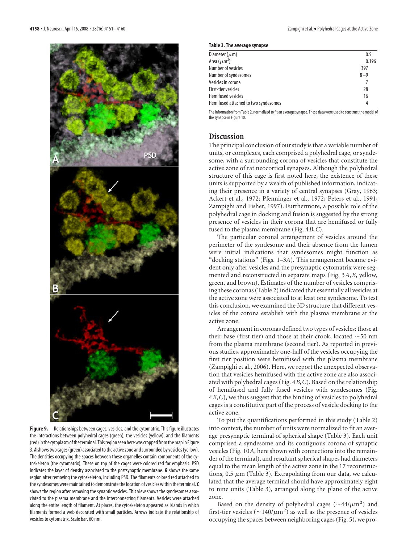

Figure 9. Relationships between cages, vesicles, and the cytomatrix. This figure illustrates the interactions between polyhedral cages (green), the vesicles (yellow), and the filaments (red) inthe cytoplasm oftheterminal. Thisregionseen herewas croppedfromthemap in Figure 3. A shows two cages (green) associated to the active zone and surrounded by vesicles (yellow). The densities occupying the spaces between these organelles contain components of the cytoskeleton (the cytomatrix). These on top of the cages were colored red for emphasis. PSD indicates the layer of density associated to the postsynaptic membrane. *B* shows the same region after removing the cytoskeleton, including PSD. The filaments colored red attached to the syndesomes were maintained to demonstrate the location of vesicles within the terminal. C shows the region after removing the synaptic vesicles. This view shows the syndesomes associated to the plasma membrane and the interconnecting filaments. Vesicles were attached along the entire length of filament. At places, the cytoskeleton appeared as islands in which filaments formed a web decorated with small particles. Arrows indicate the relationship of vesicles to cytomatrix. Scale bar, 60 nm.

#### **Table 3. The average synapse**

| Diameter ( $\mu$ m)                  | 0.5     |
|--------------------------------------|---------|
| Area ( $\mu$ m $^2$ )                | 0.196   |
| Number of vesicles                   | 397     |
| Number of syndesomes                 | $8 - 9$ |
| Vesicles in corona                   |         |
| First-tier vesicles                  | 28      |
| <b>Hemifused vesicles</b>            | 16      |
| Hemifused attached to two syndesomes | 4       |

The information from Table 2, normalized to fit an average synapse. These data were used to construct the model of the synapse in Figure 10.

# **Discussion**

The principal conclusion of our study is that a variable number of units, or complexes, each comprised a polyhedral cage, or syndesome, with a surrounding corona of vesicles that constitute the active zone of rat neocortical synapses. Although the polyhedral structure of this cage is first noted here, the existence of these units is supported by a wealth of published information, indicating their presence in a variety of central synapses (Gray, 1963; Ackert et al., 1972; Pfenninger et al., 1972; Peters et al., 1991; Zampighi and Fisher, 1997). Furthermore, a possible role of the polyhedral cage in docking and fusion is suggested by the strong presence of vesicles in their corona that are hemifused or fully fused to the plasma membrane (Fig. 4*B*,*C*).

The particular coronal arrangement of vesicles around the perimeter of the syndesome and their absence from the lumen were initial indications that syndesomes might function as "docking stations" (Figs. 1–3*A*). This arrangement became evident only after vesicles and the presynaptic cytomatrix were segmented and reconstructed in separate maps (Fig. 3*A*,*B*, yellow, green, and brown). Estimates of the number of vesicles comprising these coronas (Table 2) indicated that essentially all vesicles at the active zone were associated to at least one syndesome. To test this conclusion, we examined the 3D structure that different vesicles of the corona establish with the plasma membrane at the active zone.

Arrangement in coronas defined two types of vesicles: those at their base (first tier) and those at their crook, located  $\sim$  50 nm from the plasma membrane (second tier). As reported in previous studies, approximately one-half of the vesicles occupying the first tier position were hemifused with the plasma membrane (Zampighi et al., 2006). Here, we report the unexpected observation that vesicles hemifused with the active zone are also associated with polyhedral cages (Fig. 4*B*,*C*). Based on the relationship of hemifused and fully fused vesicles with syndesomes (Fig. 4*B*,*C*), we thus suggest that the binding of vesicles to polyhedral cages is a constitutive part of the process of vesicle docking to the active zone.

To put the quantifications performed in this study (Table 2) into context, the number of units were normalized to fit an average presynaptic terminal of spherical shape (Table 3). Each unit comprised a syndesome and its contiguous corona of synaptic vesicles (Fig. 10*A*, here shown with connections into the remainder of the terminal), and resultant spherical shapes had diameters equal to the mean length of the active zone in the 17 reconstructions,  $0.5 \mu m$  (Table 3). Extrapolating from our data, we calculated that the average terminal should have approximately eight to nine units (Table 3), arranged along the plane of the active zone.

Based on the density of polyhedral cages  $({\sim}44/\mu m^2)$  and first-tier vesicles ( $\sim$ 140/ $\mu$ m<sup>2</sup>) as well as the presence of vesicles occupying the spaces between neighboring cages (Fig. 5), we pro-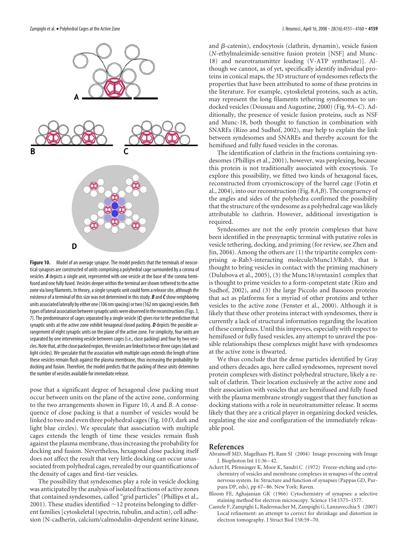

**Figure 10.** Model of an average synapse. The model predicts that the terminals of neocortical synapses are constructed of units comprising a polyhedral cage surrounded by a corona of vesicles. *A* depicts a single unit, represented with one vesicle at the base of the corona hemifused and one fully fused. Vesicles deeper within the terminal are shown tethered to the active zone via long filaments. In theory, a single synaptic unit could form a release site, although the existence of a terminal of this size was not determined in this study. **B** and C show neighboring units associated laterally by either one(106 nmspacing) ortwo(162 nmspacing) vesicles. Both types of lateral association between synaptic units were observed in the reconstructions (Figs. 3, 7). The predominance of cages separated by a single vesicle (C) gives rise to the prediction that synaptic units at the active zone exhibit hexagonal closed packing. *D* depicts the possible arrangement of eight synaptic units on the plane of the active zone. For simplicity, four units are separated by one intervening vesicle between cages (i.e., close packing) and four by two vesicles. Note that, at the close packed region, the vesicles are linked to two or three cages (dark and light circles). We speculate that the association with multiple cages extends the length of time these vesicles remain flush against the plasma membrane, thus increasing the probability for docking and fusion. Therefore, the model predicts that the packing of these units determines the number of vesicles available for immediate release.

pose that a significant degree of hexagonal close packing must occur between units on the plane of the active zone, conforming to the two arrangements shown in Figure 10, *A* and *B*. A consequence of close packing is that a number of vesicles would be linked to two and even three polyhedral cages (Fig. 10*D*, dark and light blue circles). We speculate that association with multiple cages extends the length of time these vesicles remain flush against the plasma membrane, thus increasing the probability for docking and fusion. Nevertheless, hexagonal close packing itself does not affect the result that very little docking can occur unassociated from polyhedral cages, revealed by our quantifications of the density of cages and first-tier vesicles.

The possibility that syndesomes play a role in vesicle docking was anticipated by the analysis of isolated fractions of active zones that contained syndesomes, called "grid particles" (Phillips et al., 2001). These studies identified  $\sim$  12 proteins belonging to different families [cytoskeletal (spectrin, tubulin, and actin), cell adhesion (N-cadherin, calcium/calmodulin-dependent serine kinase,

and  $\beta$ -catenin), endocytosis (clathrin, dynamin), vesicle fusion (*N*-ethylmaleimide-sensitive fusion protein [NSF] and Munc-18) and neurotransmitter loading (V-ATP synthetase)]. Although we cannot, as of yet, specifically identify individual proteins in conical maps, the 3D structure of syndesomes reflects the properties that have been attributed to some of these proteins in the literature. For example, cytoskeletal proteins, such as actin, may represent the long filaments tethering syndesomes to undocked vesicles (Doussau and Augustine, 2000) (Fig. 9*A–C*). Additionally, the presence of vesicle fusion proteins, such as NSF and Munc-18, both thought to function in combination with SNAREs (Rizo and Sudhof, 2002), may help to explain the link between syndesomes and SNAREs and thereby account for the hemifused and fully fused vesicles in the coronas.

The identification of clathrin in the fractions containing syndesomes (Phillips et al., 2001), however, was perplexing, because this protein is not traditionally associated with exocytosis. To explore this possibility, we fitted two kinds of hexagonal faces, reconstructed from cryomicroscopy of the barrel cage (Fotin et al., 2004), into our reconstruction (Fig. 8*A*,*B*). The congruency of the angles and sides of the polyhedra confirmed the possibility that the structure of the syndesome as a polyhedral cage was likely attributable to clathrin. However, additional investigation is required.

Syndesomes are not the only protein complexes that have been identified in the presynaptic terminal with putative roles in vesicle tethering, docking, and priming (for review, see Zhen and Jin, 2004). Among the others are (1) the tripartite complex comprising  $\alpha$ -Rab3-interacting molecule/Munc13/Rab3, that is thought to bring vesicles in contact with the priming machinery (Dulubova et al., 2005), (3) the Munc18/syntaxin1 complex that is thought to prime vesicles to a form-competent state (Rizo and Sudhof, 2002), and (3) the large Piccolo and Bassoon proteins that act as platforms for a myriad of other proteins and tether vesicles to the active zone (Fenster et al., 2000). Although it is likely that these other proteins interact with syndesomes, there is currently a lack of structural information regarding the location of these complexes. Until this improves, especially with respect to hemifused or fully fused vesicles, any attempt to unravel the possible relationships these complexes might have with syndesomes at the active zone is thwarted.

We thus conclude that the dense particles identified by Gray and others decades ago, here called syndesomes, represent novel protein complexes with distinct polyhedral structure, likely a result of clathrin. Their location exclusively at the active zone and their association with vesicles that are hemifused and fully fused with the plasma membrane strongly suggest that they function as docking stations with a role in neurotransmitter release. It seems likely that they are a critical player in organizing docked vesicles, regulating the size and configuration of the immediately releasable pool.

## **References**

- Abramoff MD, Magelhaes PJ, Ram SJ (2004) Image processing with Image J. Biophoton Int 11:36 –42.
- Ackert H, Pfenninger K, Moor K, Sandri C (1972) Freeze-etching and cytochemistry of vesicles and membrane complexes in synapses of the central nervous system. In: Structure and function of synapses (Pappas GD, Purpura DP, eds), pp 67–86. New York: Raven.
- Bloom FE, Aghajanian GK (1966) Cytochemistry of synapses: a selective staining method for electron microscopy. Science 154:1575–1577.
- Cantele F, Zampighi L, Radermacher M, Zampighi G, Lanzavecchia S (2007) Local refinement: an attempt to correct for shrinkage and distortion in electron tomography. J Struct Biol 158:59 –70.